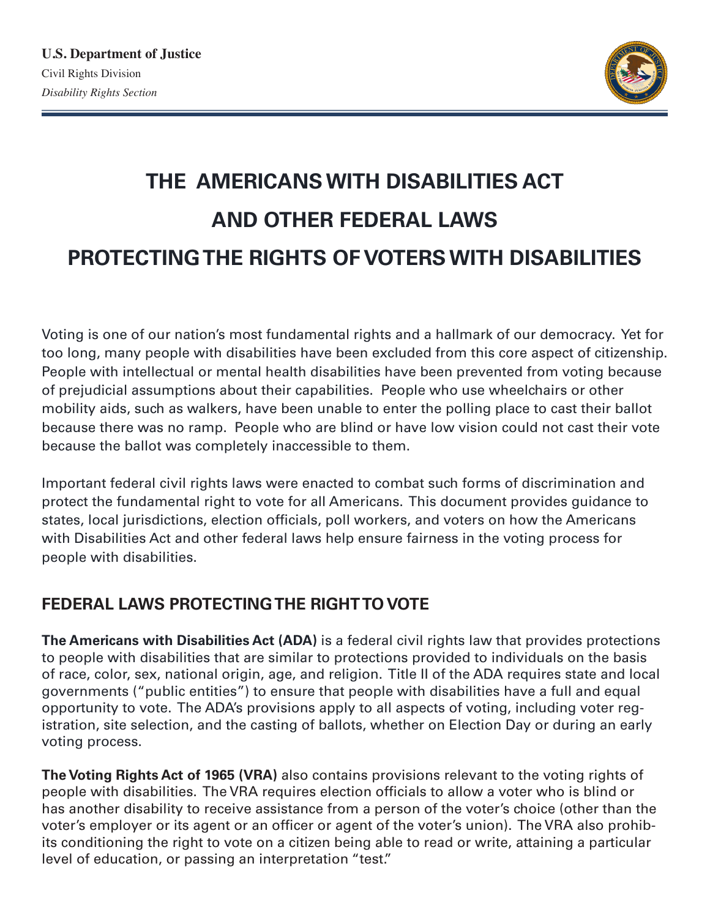

# **THE AMERICANS WITH DISABILITIES ACT AND OTHER FEDERAL LAWS PROTECTING THE RIGHTS OF VOTERS WITH DISABILITIES**

Voting is one of our nation's most fundamental rights and a hallmark of our democracy. Yet for too long, many people with disabilities have been excluded from this core aspect of citizenship. People with intellectual or mental health disabilities have been prevented from voting because of prejudicial assumptions about their capabilities. People who use wheelchairs or other mobility aids, such as walkers, have been unable to enter the polling place to cast their ballot because there was no ramp. People who are blind or have low vision could not cast their vote because the ballot was completely inaccessible to them.

Important federal civil rights laws were enacted to combat such forms of discrimination and protect the fundamental right to vote for all Americans. This document provides guidance to states, local jurisdictions, election officials, poll workers, and voters on how the Americans with Disabilities Act and other federal laws help ensure fairness in the voting process for people with disabilities.

# **FEDERAL LAWS PROTECTING THE RIGHT TO VOTE**

**The Americans with Disabilities Act (ADA)** is a federal civil rights law that provides protections to people with disabilities that are similar to protections provided to individuals on the basis of race, color, sex, national origin, age, and religion. Title II of the ADA requires state and local governments ("public entities") to ensure that people with disabilities have a full and equal opportunity to vote. The ADA's provisions apply to all aspects of voting, including voter registration, site selection, and the casting of ballots, whether on Election Day or during an early voting process.

**The Voting Rights Act of 1965 (VRA)** also contains provisions relevant to the voting rights of people with disabilities. The VRA requires election officials to allow a voter who is blind or has another disability to receive assistance from a person of the voter's choice (other than the voter's employer or its agent or an officer or agent of the voter's union). The VRA also prohibits conditioning the right to vote on a citizen being able to read or write, attaining a particular level of education, or passing an interpretation "test."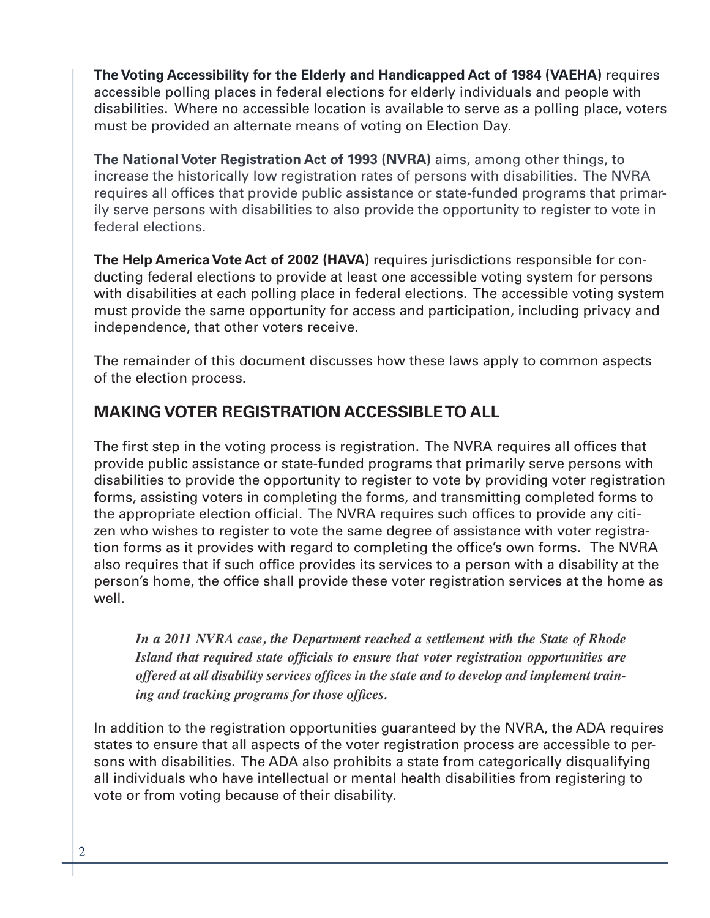**The Voting Accessibility for the Elderly and Handicapped Act of 1984 (VAEHA)** requires accessible polling places in federal elections for elderly individuals and people with disabilities. Where no accessible location is available to serve as a polling place, voters must be provided an alternate means of voting on Election Day.

**The National Voter Registration Act of 1993 (NVRA)** aims, among other things, to increase the historically low registration rates of persons with disabilities. The NVRA requires all offices that provide public assistance or state-funded programs that primarily serve persons with disabilities to also provide the opportunity to register to vote in federal elections.

**The Help America Vote Act of 2002 (HAVA)** requires jurisdictions responsible for conducting federal elections to provide at least one accessible voting system for persons with disabilities at each polling place in federal elections. The accessible voting system must provide the same opportunity for access and participation, including privacy and independence, that other voters receive.

The remainder of this document discusses how these laws apply to common aspects of the election process.

# **MAKING VOTER REGISTRATION ACCESSIBLE TO ALL**

The first step in the voting process is registration. The NVRA requires all offices that provide public assistance or state-funded programs that primarily serve persons with disabilities to provide the opportunity to register to vote by providing voter registration forms, assisting voters in completing the forms, and transmitting completed forms to the appropriate election official. The NVRA requires such offices to provide any citizen who wishes to register to vote the same degree of assistance with voter registration forms as it provides with regard to completing the office's own forms. The NVRA also requires that if such office provides its services to a person with a disability at the person's home, the office shall provide these voter registration services at the home as well.

*In a 2011 NVRA case, the Department reached a settlement with the State of Rhode Island that required state officials to ensure that voter registration opportunities are offered at all disability services offices in the state and to develop and implement training and tracking programs for those offices.*

In addition to the registration opportunities guaranteed by the NVRA, the ADA requires states to ensure that all aspects of the voter registration process are accessible to persons with disabilities. The ADA also prohibits a state from categorically disqualifying all individuals who have intellectual or mental health disabilities from registering to vote or from voting because of their disability.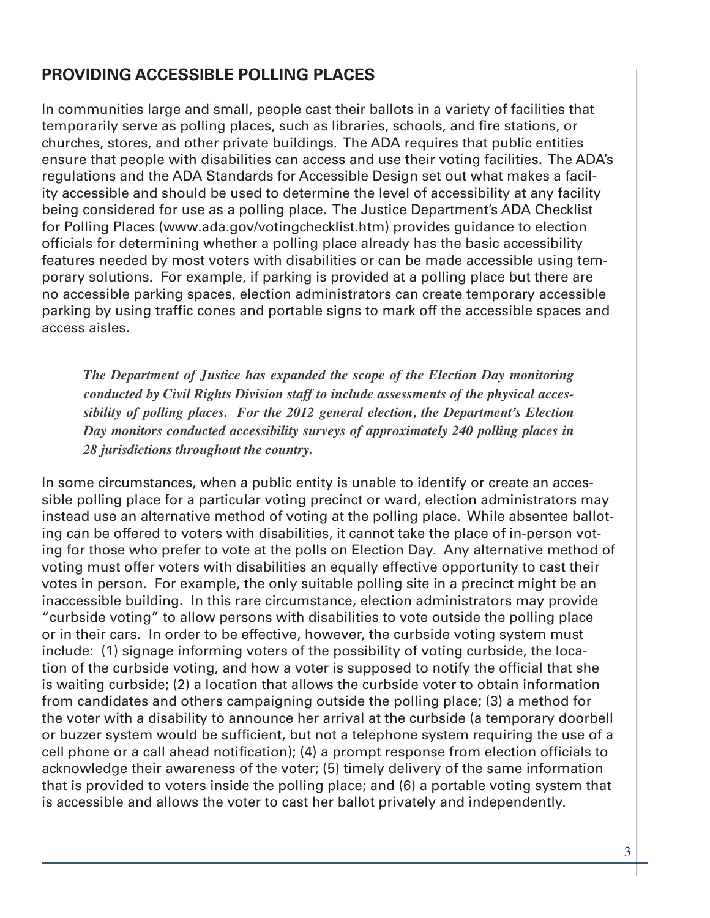## **PROVIDING ACCESSIBLE POLLING PLACES**

In communities large and small, people cast their ballots in a variety of facilities that temporarily serve as polling places, such as libraries, schools, and fire stations, or churches, stores, and other private buildings. The ADA requires that public entities ensure that people with disabilities can access and use their voting facilities. The ADA's regulations and the ADA Standards for Accessible Design set out what makes a facility accessible and should be used to determine the level of accessibility at any facility being considered for use as a polling place. The Justice Department's ADA Checklist for Polling Places (www.ada.gov/votingchecklist.htm) provides guidance to election officials for determining whether a polling place already has the basic accessibility features needed by most voters with disabilities or can be made accessible using temporary solutions. For example, if parking is provided at a polling place but there are no accessible parking spaces, election administrators can create temporary accessible parking by using traffic cones and portable signs to mark off the accessible spaces and access aisles.

*The Department of Justice has expanded the scope of the Election Day monitoring conducted by Civil Rights Division staff to include assessments of the physical accessibility of polling places. For the 2012 general election, the Department's Election Day monitors conducted accessibility surveys of approximately 240 polling places in 28 jurisdictions throughout the country.* 

In some circumstances, when a public entity is unable to identify or create an accessible polling place for a particular voting precinct or ward, election administrators may instead use an alternative method of voting at the polling place. While absentee balloting can be offered to voters with disabilities, it cannot take the place of in-person voting for those who prefer to vote at the polls on Election Day. Any alternative method of voting must offer voters with disabilities an equally effective opportunity to cast their votes in person. For example, the only suitable polling site in a precinct might be an inaccessible building. In this rare circumstance, election administrators may provide "curbside voting" to allow persons with disabilities to vote outside the polling place or in their cars. In order to be effective, however, the curbside voting system must include: (1) signage informing voters of the possibility of voting curbside, the location of the curbside voting, and how a voter is supposed to notify the official that she is waiting curbside; (2) a location that allows the curbside voter to obtain information from candidates and others campaigning outside the polling place; (3) a method for the voter with a disability to announce her arrival at the curbside (a temporary doorbell or buzzer system would be sufficient, but not a telephone system requiring the use of a cell phone or a call ahead notification); (4) a prompt response from election officials to acknowledge their awareness of the voter; (5) timely delivery of the same information that is provided to voters inside the polling place; and (6) a portable voting system that is accessible and allows the voter to cast her ballot privately and independently.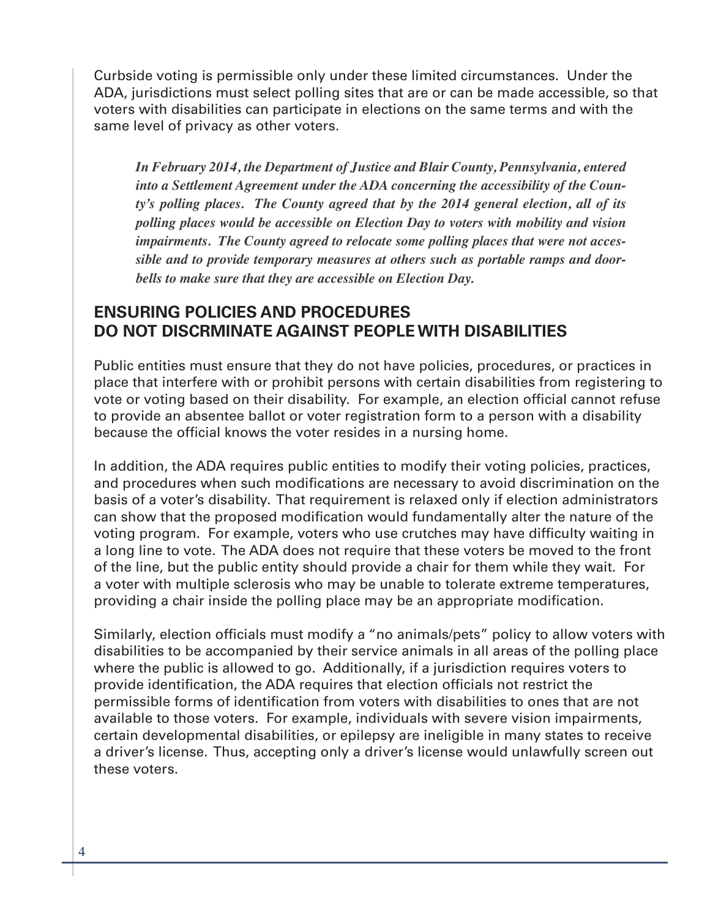Curbside voting is permissible only under these limited circumstances. Under the ADA, jurisdictions must select polling sites that are or can be made accessible, so that voters with disabilities can participate in elections on the same terms and with the same level of privacy as other voters.

*In February 2014, the Department of Justice and Blair County, Pennsylvania, entered into a Settlement Agreement under the ADA concerning the accessibility of the County's polling places. The County agreed that by the 2014 general election, all of its polling places would be accessible on Election Day to voters with mobility and vision impairments. The County agreed to relocate some polling places that were not accessible and to provide temporary measures at others such as portable ramps and doorbells to make sure that they are accessible on Election Day.*

## **ENSURING POLICIES AND PROCEDURES DO NOT DISCRMINATE AGAINST PEOPLE WITH DISABILITIES**

Public entities must ensure that they do not have policies, procedures, or practices in place that interfere with or prohibit persons with certain disabilities from registering to vote or voting based on their disability. For example, an election official cannot refuse to provide an absentee ballot or voter registration form to a person with a disability because the official knows the voter resides in a nursing home.

In addition, the ADA requires public entities to modify their voting policies, practices, and procedures when such modifications are necessary to avoid discrimination on the basis of a voter's disability. That requirement is relaxed only if election administrators can show that the proposed modification would fundamentally alter the nature of the voting program. For example, voters who use crutches may have difficulty waiting in a long line to vote. The ADA does not require that these voters be moved to the front of the line, but the public entity should provide a chair for them while they wait. For a voter with multiple sclerosis who may be unable to tolerate extreme temperatures, providing a chair inside the polling place may be an appropriate modification.

Similarly, election officials must modify a "no animals/pets" policy to allow voters with disabilities to be accompanied by their service animals in all areas of the polling place where the public is allowed to go. Additionally, if a jurisdiction requires voters to provide identification, the ADA requires that election officials not restrict the permissible forms of identification from voters with disabilities to ones that are not available to those voters. For example, individuals with severe vision impairments, certain developmental disabilities, or epilepsy are ineligible in many states to receive a driver's license. Thus, accepting only a driver's license would unlawfully screen out these voters.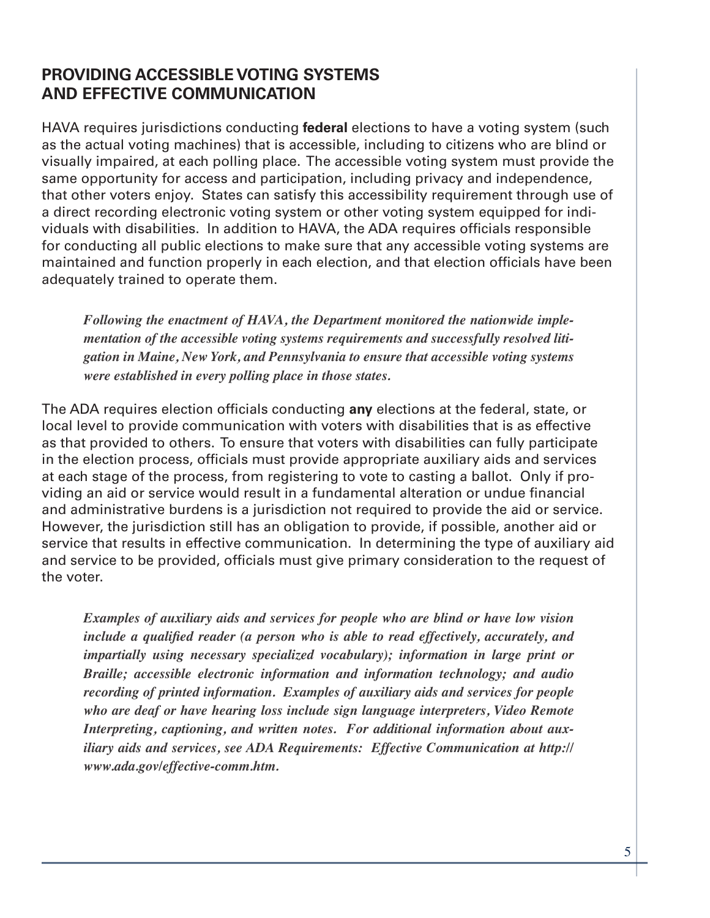## **PROVIDING ACCESSIBLE VOTING SYSTEMS AND EFFECTIVE COMMUNICATION**

HAVA requires jurisdictions conducting **federal** elections to have a voting system (such as the actual voting machines) that is accessible, including to citizens who are blind or visually impaired, at each polling place. The accessible voting system must provide the same opportunity for access and participation, including privacy and independence, that other voters enjoy. States can satisfy this accessibility requirement through use of a direct recording electronic voting system or other voting system equipped for individuals with disabilities. In addition to HAVA, the ADA requires officials responsible for conducting all public elections to make sure that any accessible voting systems are maintained and function properly in each election, and that election officials have been adequately trained to operate them.

*Following the enactment of HAVA, the Department monitored the nationwide implementation of the accessible voting systems requirements and successfully resolved litigation in Maine, New York, and Pennsylvania to ensure that accessible voting systems were established in every polling place in those states.*

The ADA requires election officials conducting **any** elections at the federal, state, or local level to provide communication with voters with disabilities that is as effective as that provided to others. To ensure that voters with disabilities can fully participate in the election process, officials must provide appropriate auxiliary aids and services at each stage of the process, from registering to vote to casting a ballot. Only if providing an aid or service would result in a fundamental alteration or undue financial and administrative burdens is a jurisdiction not required to provide the aid or service. However, the jurisdiction still has an obligation to provide, if possible, another aid or service that results in effective communication. In determining the type of auxiliary aid and service to be provided, officials must give primary consideration to the request of the voter.

*Examples of auxiliary aids and services for people who are blind or have low vision include a qualified reader (a person who is able to read effectively, accurately, and impartially using necessary specialized vocabulary); information in large print or Braille; accessible electronic information and information technology; and audio recording of printed information. Examples of auxiliary aids and services for people who are deaf or have hearing loss include sign language interpreters, Video Remote Interpreting, captioning, and written notes. For additional information about auxiliary aids and services, see ADA Requirements: Effective Communication at http:// www.ada.gov/effective-comm.htm.*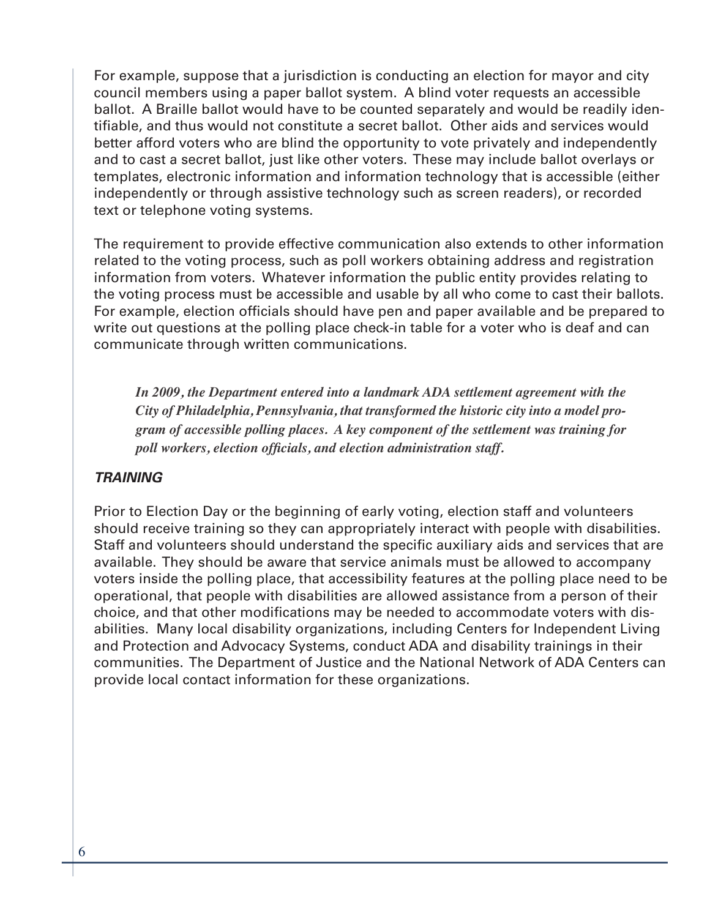For example, suppose that a jurisdiction is conducting an election for mayor and city council members using a paper ballot system. A blind voter requests an accessible ballot. A Braille ballot would have to be counted separately and would be readily identifiable, and thus would not constitute a secret ballot. Other aids and services would better afford voters who are blind the opportunity to vote privately and independently and to cast a secret ballot, just like other voters. These may include ballot overlays or templates, electronic information and information technology that is accessible (either independently or through assistive technology such as screen readers), or recorded text or telephone voting systems.

The requirement to provide effective communication also extends to other information related to the voting process, such as poll workers obtaining address and registration information from voters. Whatever information the public entity provides relating to the voting process must be accessible and usable by all who come to cast their ballots. For example, election officials should have pen and paper available and be prepared to write out questions at the polling place check-in table for a voter who is deaf and can communicate through written communications.

*In 2009, the Department entered into a landmark ADA settlement agreement with the City of Philadelphia, Pennsylvania, that transformed the historic city into a model program of accessible polling places. A key component of the settlement was training for poll workers, election officials, and election administration staff.* 

#### *TRAINING*

Prior to Election Day or the beginning of early voting, election staff and volunteers should receive training so they can appropriately interact with people with disabilities. Staff and volunteers should understand the specific auxiliary aids and services that are available. They should be aware that service animals must be allowed to accompany voters inside the polling place, that accessibility features at the polling place need to be operational, that people with disabilities are allowed assistance from a person of their choice, and that other modifications may be needed to accommodate voters with disabilities. Many local disability organizations, including Centers for Independent Living and Protection and Advocacy Systems, conduct ADA and disability trainings in their communities. The Department of Justice and the National Network of ADA Centers can provide local contact information for these organizations.